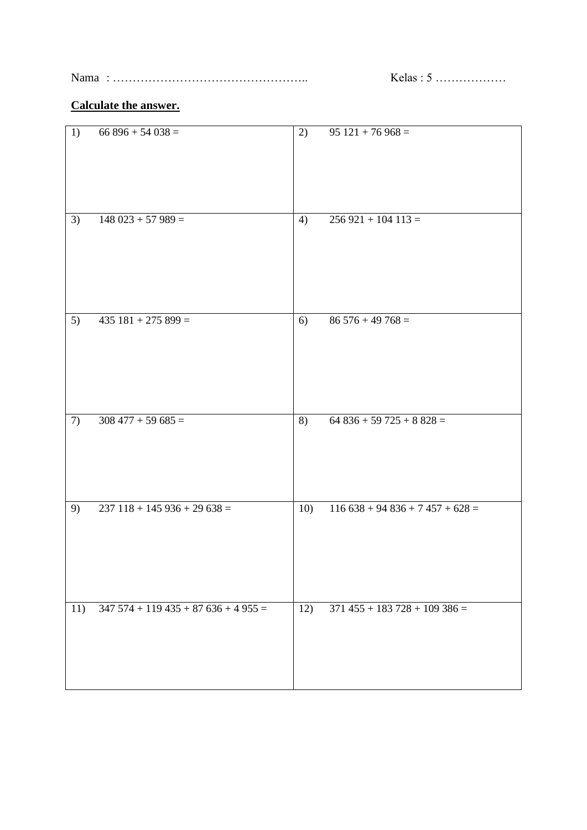Nama : ………………………………………….. Kelas : 5 ………………

## **Calculate the answer.**

| 1)  | $66896 + 54038 =$                  | 2)  | $\overline{95121} + 76968 =$    |
|-----|------------------------------------|-----|---------------------------------|
|     |                                    |     |                                 |
| 3)  | $148023 + 57989 =$                 | 4)  | $256921 + 104113 =$             |
| 5)  | $435$ $181 + 275$ $899 =$          | 6)  | $86\,5\overline{76+49\,768}=$   |
| 7)  | $308\,477 + 59\,685 =$             | 8)  | $64836 + 59725 + 8828 =$        |
| 9)  | $237$ 118 + 145 936 + 29 638 =     | 10) | $116638 + 94836 + 7457 + 628 =$ |
| 11) | $347574 + 119435 + 87636 + 4955 =$ | 12) | $371$ 455 + 183 728 + 109 386 = |